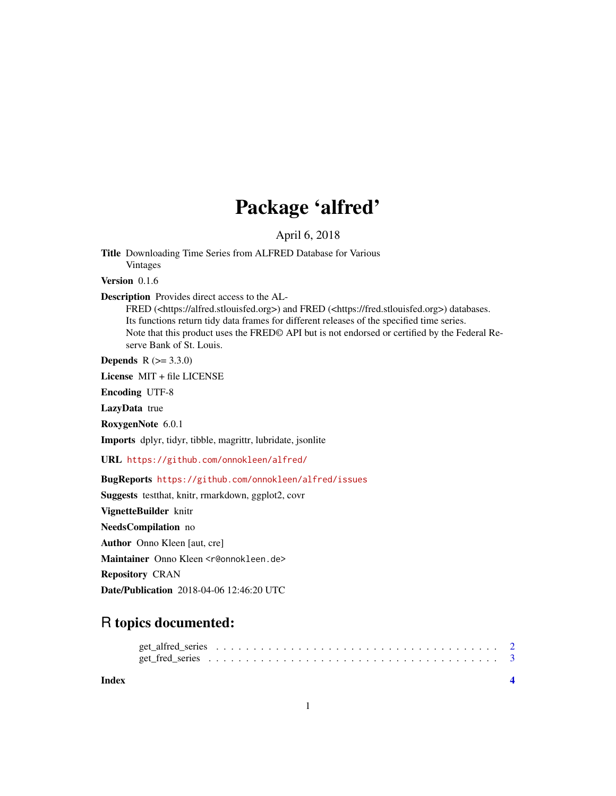## Package 'alfred'

April 6, 2018

Title Downloading Time Series from ALFRED Database for Various Vintages

Version 0.1.6

#### Description Provides direct access to the AL-

FRED (<https://alfred.stlouisfed.org>) and FRED (<https://fred.stlouisfed.org>) databases. Its functions return tidy data frames for different releases of the specified time series. Note that this product uses the FRED© API but is not endorsed or certified by the Federal Reserve Bank of St. Louis.

**Depends**  $R (= 3.3.0)$ 

License MIT + file LICENSE

Encoding UTF-8

LazyData true

RoxygenNote 6.0.1

Imports dplyr, tidyr, tibble, magrittr, lubridate, jsonlite

URL <https://github.com/onnokleen/alfred/>

#### BugReports <https://github.com/onnokleen/alfred/issues>

Suggests testthat, knitr, rmarkdown, ggplot2, covr

VignetteBuilder knitr

NeedsCompilation no

Author Onno Kleen [aut, cre]

Maintainer Onno Kleen <r@onnokleen.de>

Repository CRAN

Date/Publication 2018-04-06 12:46:20 UTC

### R topics documented:

**Index** [4](#page-3-0)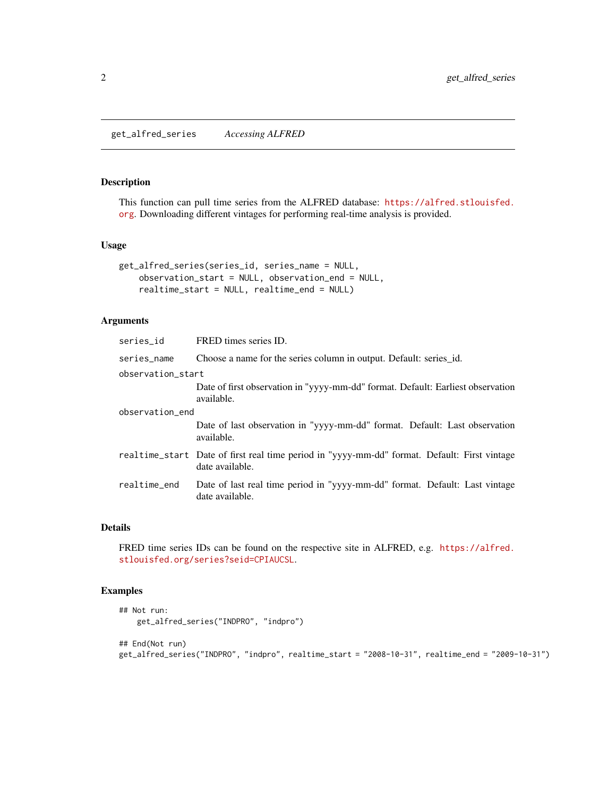#### <span id="page-1-0"></span>Description

This function can pull time series from the ALFRED database: [https://alfred.stlouisfed.](https://alfred.stlouisfed.org) [org](https://alfred.stlouisfed.org). Downloading different vintages for performing real-time analysis is provided.

#### Usage

```
get_alfred_series(series_id, series_name = NULL,
    observation_start = NULL, observation_end = NULL,
    realtime_start = NULL, realtime_end = NULL)
```
#### Arguments

| series_id         | FRED times series ID.                                                                                           |  |  |  |  |  |  |  |
|-------------------|-----------------------------------------------------------------------------------------------------------------|--|--|--|--|--|--|--|
| series_name       | Choose a name for the series column in output. Default: series_id.                                              |  |  |  |  |  |  |  |
| observation start |                                                                                                                 |  |  |  |  |  |  |  |
|                   | Date of first observation in "yyyy-mm-dd" format. Default: Earliest observation<br>available.                   |  |  |  |  |  |  |  |
| observation_end   |                                                                                                                 |  |  |  |  |  |  |  |
|                   | Date of last observation in "yyyy-mm-dd" format. Default: Last observation<br>available.                        |  |  |  |  |  |  |  |
|                   | realtime_start Date of first real time period in "yyyy-mm-dd" format. Default: First vintage<br>date available. |  |  |  |  |  |  |  |
| realtime_end      | Date of last real time period in "yyyy-mm-dd" format. Default: Last vintage<br>date available.                  |  |  |  |  |  |  |  |

#### Details

FRED time series IDs can be found on the respective site in ALFRED, e.g. [https://alfred.](https://alfred.stlouisfed.org/series?seid=CPIAUCSL) [stlouisfed.org/series?seid=CPIAUCSL](https://alfred.stlouisfed.org/series?seid=CPIAUCSL).

#### Examples

```
## Not run:
   get_alfred_series("INDPRO", "indpro")
## End(Not run)
get_alfred_series("INDPRO", "indpro", realtime_start = "2008-10-31", realtime_end = "2009-10-31")
```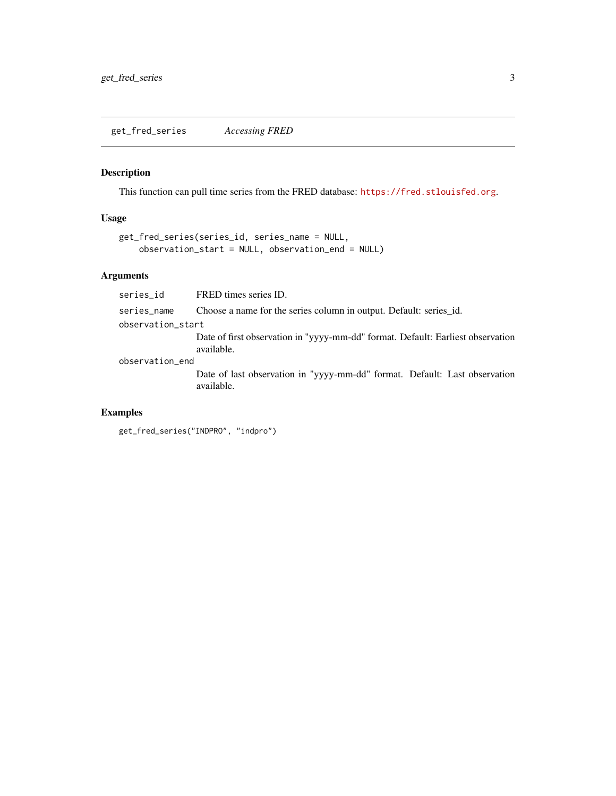#### <span id="page-2-0"></span>Description

This function can pull time series from the FRED database: <https://fred.stlouisfed.org>.

#### Usage

```
get_fred_series(series_id, series_name = NULL,
    observation_start = NULL, observation_end = NULL)
```
#### Arguments

| series id         | FRED times series ID.                                                                         |  |  |  |  |  |  |  |  |
|-------------------|-----------------------------------------------------------------------------------------------|--|--|--|--|--|--|--|--|
| series_name       | Choose a name for the series column in output. Default: series_id.                            |  |  |  |  |  |  |  |  |
| observation_start |                                                                                               |  |  |  |  |  |  |  |  |
|                   | Date of first observation in "yyyy-mm-dd" format. Default: Earliest observation<br>available. |  |  |  |  |  |  |  |  |
| observation_end   |                                                                                               |  |  |  |  |  |  |  |  |
|                   | Date of last observation in "yyyy-mm-dd" format. Default: Last observation<br>available.      |  |  |  |  |  |  |  |  |

#### Examples

```
get_fred_series("INDPRO", "indpro")
```